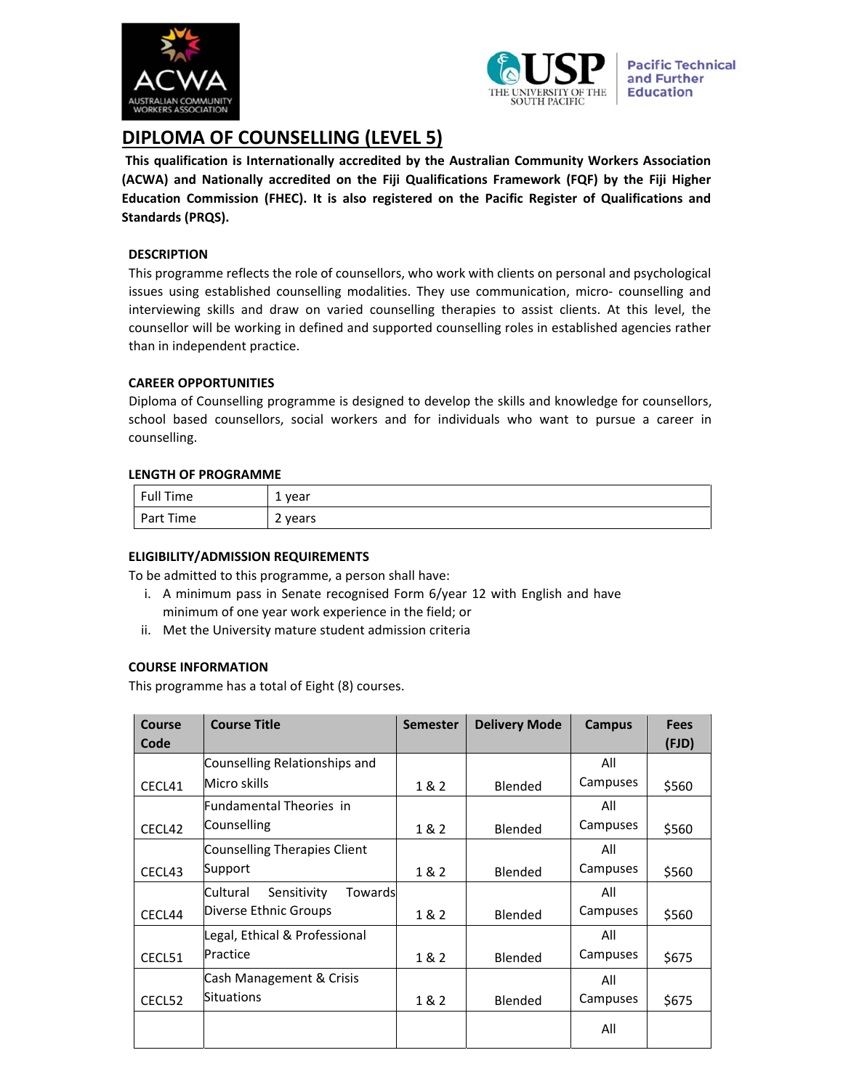



# **DIPLOMA OF COUNSELLING (LEVEL 5)**

**This qualification is Internationally accredited by the Australian Community Workers Association (ACWA) and Nationally accredited on the Fiji Qualifications Framework (FQF) by the Fiji Higher Education Commission (FHEC). It is also registered on the Pacific Register of Qualifications and Standards (PRQS).** 

# **DESCRIPTION**

This programme reflects the role of counsellors, who work with clients on personal and psychological issues using established counselling modalities. They use communication, micro- counselling and interviewing skills and draw on varied counselling therapies to assist clients. At this level, the counsellor will be working in defined and supported counselling roles in established agencies rather than in independent practice.

## **CAREER OPPORTUNITIES**

Diploma of Counselling programme is designed to develop the skills and knowledge for counsellors, school based counsellors, social workers and for individuals who want to pursue a career in counselling.

#### **LENGTH OF PROGRAMME**

| <b>Full Time</b> | year<br>∸ |
|------------------|-----------|
| Part Time        | 2 years   |

#### **ELIGIBILITY/ADMISSION REQUIREMENTS**

To be admitted to this programme, a person shall have:

- i. A minimum pass in Senate recognised Form 6/year 12 with English and have minimum of one year work experience in the field; or
- ii. Met the University mature student admission criteria

#### **COURSE INFORMATION**

This programme has a total of Eight (8) courses.

| Course | <b>Course Title</b>                | <b>Semester</b> | <b>Delivery Mode</b> | <b>Campus</b> | <b>Fees</b> |
|--------|------------------------------------|-----------------|----------------------|---------------|-------------|
| Code   |                                    |                 |                      |               | (FJD)       |
|        | Counselling Relationships and      |                 |                      | All           |             |
| CECL41 | Micro skills                       | 1&2             | Blended              | Campuses      | \$560       |
|        | Fundamental Theories in            |                 |                      | All           |             |
| CECL42 | Counselling                        | 1 & 2           | Blended              | Campuses      | \$560       |
|        | Counselling Therapies Client       |                 |                      | All           |             |
| CECL43 | Support                            | 1 & 2           | Blended              | Campuses      | \$560       |
|        | Cultural<br>Sensitivity<br>Towards |                 |                      | All           |             |
| CECL44 | Diverse Ethnic Groups              | 1&2             | Blended              | Campuses      | \$560       |
|        | Legal, Ethical & Professional      |                 |                      | All           |             |
| CECL51 | Practice                           | 1&2             | Blended              | Campuses      | \$675       |
|        | Cash Management & Crisis           |                 |                      | All           |             |
| CECL52 | <b>Situations</b>                  | 1 & 2           | Blended              | Campuses      | \$675       |
|        |                                    |                 |                      | All           |             |